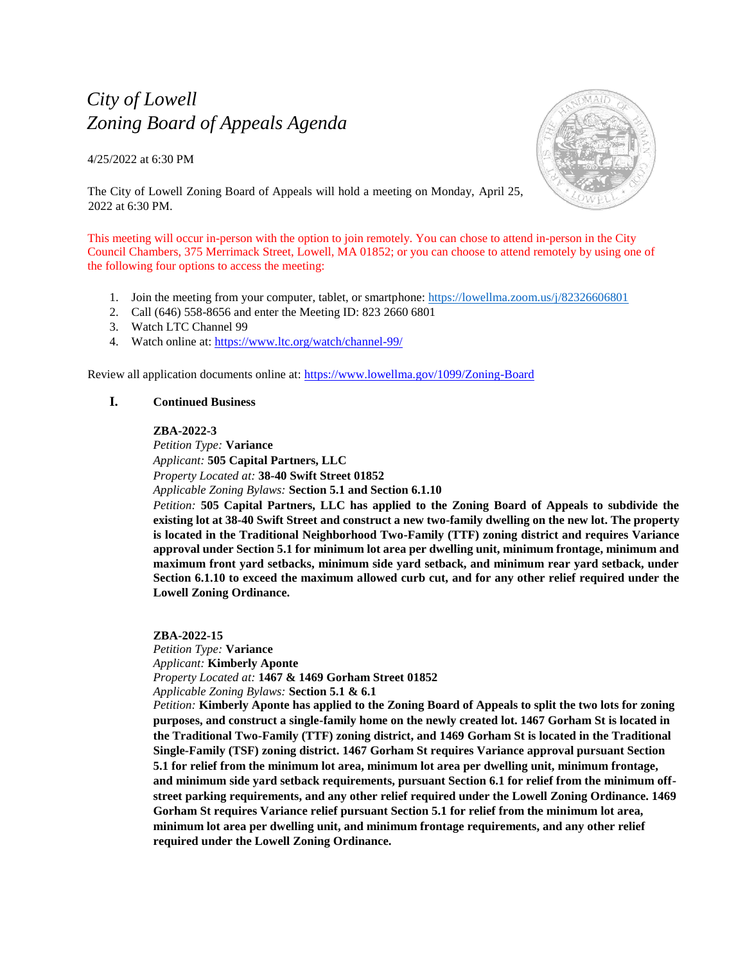# *City of Lowell Zoning Board of Appeals Agenda*

4/25/2022 at 6:30 PM



The City of Lowell Zoning Board of Appeals will hold a meeting on Monday, April 25, 2022 at 6:30 PM.

This meeting will occur in-person with the option to join remotely. You can chose to attend in-person in the City Council Chambers, 375 Merrimack Street, Lowell, MA 01852; or you can choose to attend remotely by using one of the following four options to access the meeting:

- 1. Join the meeting from your computer, tablet, or smartphone:<https://lowellma.zoom.us/j/82326606801>
- 2. Call (646) 558-8656 and enter the Meeting ID: 823 2660 6801
- 3. Watch LTC Channel 99
- 4. Watch online at:<https://www.ltc.org/watch/channel-99/>

Review all application documents online at: <https://www.lowellma.gov/1099/Zoning-Board>

# **I. Continued Business**

## **ZBA-2022-3**

*Petition Type:* **Variance** *Applicant:* **505 Capital Partners, LLC** *Property Located at:* **38-40 Swift Street 01852** *Applicable Zoning Bylaws:* **Section 5.1 and Section 6.1.10**

*Petition:* **505 Capital Partners, LLC has applied to the Zoning Board of Appeals to subdivide the existing lot at 38-40 Swift Street and construct a new two-family dwelling on the new lot. The property is located in the Traditional Neighborhood Two-Family (TTF) zoning district and requires Variance approval under Section 5.1 for minimum lot area per dwelling unit, minimum frontage, minimum and maximum front yard setbacks, minimum side yard setback, and minimum rear yard setback, under Section 6.1.10 to exceed the maximum allowed curb cut, and for any other relief required under the Lowell Zoning Ordinance.**

**ZBA-2022-15** *Petition Type:* **Variance** *Applicant:* **Kimberly Aponte** *Property Located at:* **1467 & 1469 Gorham Street 01852** *Applicable Zoning Bylaws:* **Section 5.1 & 6.1**

*Petition:* **Kimberly Aponte has applied to the Zoning Board of Appeals to split the two lots for zoning purposes, and construct a single-family home on the newly created lot. 1467 Gorham St is located in the Traditional Two-Family (TTF) zoning district, and 1469 Gorham St is located in the Traditional Single-Family (TSF) zoning district. 1467 Gorham St requires Variance approval pursuant Section 5.1 for relief from the minimum lot area, minimum lot area per dwelling unit, minimum frontage, and minimum side yard setback requirements, pursuant Section 6.1 for relief from the minimum offstreet parking requirements, and any other relief required under the Lowell Zoning Ordinance. 1469 Gorham St requires Variance relief pursuant Section 5.1 for relief from the minimum lot area, minimum lot area per dwelling unit, and minimum frontage requirements, and any other relief required under the Lowell Zoning Ordinance.**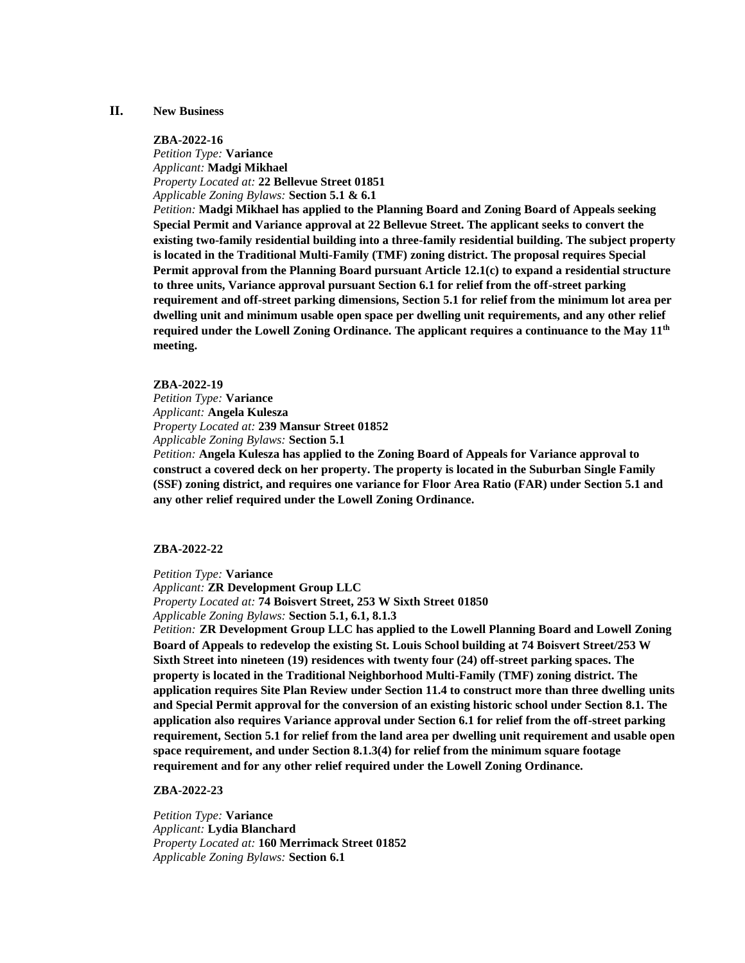## **II. New Business**

## **ZBA-2022-16**

*Petition Type:* **Variance** *Applicant:* **Madgi Mikhael** *Property Located at:* **22 Bellevue Street 01851** *Applicable Zoning Bylaws:* **Section 5.1 & 6.1**

*Petition:* **Madgi Mikhael has applied to the Planning Board and Zoning Board of Appeals seeking Special Permit and Variance approval at 22 Bellevue Street. The applicant seeks to convert the existing two-family residential building into a three-family residential building. The subject property is located in the Traditional Multi-Family (TMF) zoning district. The proposal requires Special Permit approval from the Planning Board pursuant Article 12.1(c) to expand a residential structure to three units, Variance approval pursuant Section 6.1 for relief from the off-street parking requirement and off-street parking dimensions, Section 5.1 for relief from the minimum lot area per dwelling unit and minimum usable open space per dwelling unit requirements, and any other relief required under the Lowell Zoning Ordinance. The applicant requires a continuance to the May 11 th meeting.**

#### **ZBA-2022-19**

*Petition Type:* **Variance** *Applicant:* **Angela Kulesza** *Property Located at:* **239 Mansur Street 01852** *Applicable Zoning Bylaws:* **Section 5.1** 

*Petition:* **Angela Kulesza has applied to the Zoning Board of Appeals for Variance approval to construct a covered deck on her property. The property is located in the Suburban Single Family (SSF) zoning district, and requires one variance for Floor Area Ratio (FAR) under Section 5.1 and any other relief required under the Lowell Zoning Ordinance.**

## **ZBA-2022-22**

*Petition Type:* **Variance**

*Applicant:* **ZR Development Group LLC** *Property Located at:* **74 Boisvert Street, 253 W Sixth Street 01850** *Applicable Zoning Bylaws:* **Section 5.1, 6.1, 8.1.3**

*Petition:* **ZR Development Group LLC has applied to the Lowell Planning Board and Lowell Zoning Board of Appeals to redevelop the existing St. Louis School building at 74 Boisvert Street/253 W Sixth Street into nineteen (19) residences with twenty four (24) off-street parking spaces. The property is located in the Traditional Neighborhood Multi-Family (TMF) zoning district. The application requires Site Plan Review under Section 11.4 to construct more than three dwelling units and Special Permit approval for the conversion of an existing historic school under Section 8.1. The application also requires Variance approval under Section 6.1 for relief from the off-street parking requirement, Section 5.1 for relief from the land area per dwelling unit requirement and usable open space requirement, and under Section 8.1.3(4) for relief from the minimum square footage requirement and for any other relief required under the Lowell Zoning Ordinance.** 

**ZBA-2022-23**

*Petition Type:* **Variance** *Applicant:* **Lydia Blanchard** *Property Located at:* **160 Merrimack Street 01852** *Applicable Zoning Bylaws:* **Section 6.1**